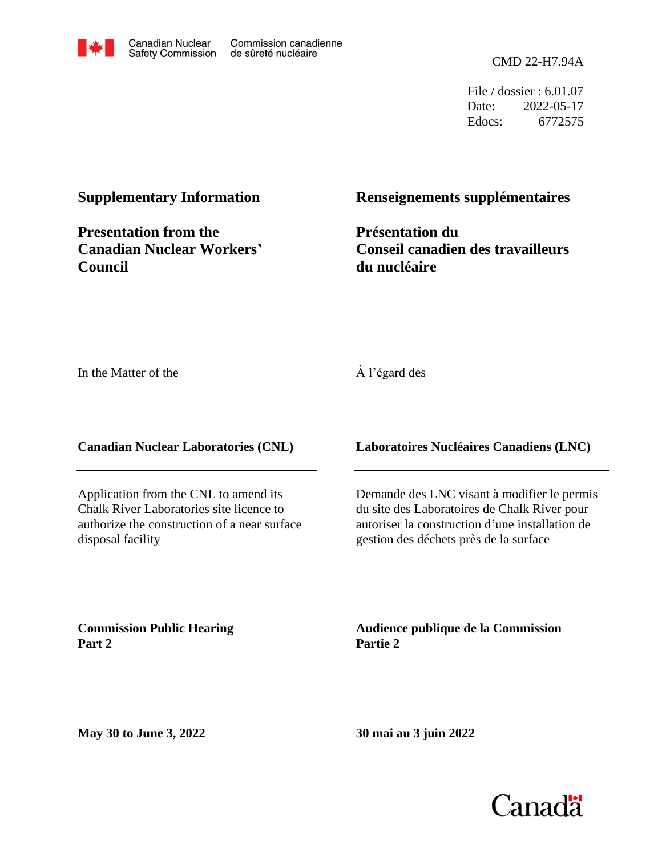

File / dossier : 6.01.07 Date: 2022-05-17 Edocs: 6772575

#### **Supplementary Information**

**Presentation from the Canadian Nuclear Workers' Council**

#### **Renseignements supplémentaires**

**Présentation du Conseil canadien des travailleurs du nucléaire**

In the Matter of the

#### À l'égard des

**Canadian Nuclear Laboratories (CNL)**

Application from the CNL to amend its Chalk River Laboratories site licence to authorize the construction of a near surface disposal facility

**Laboratoires Nucléaires Canadiens (LNC)**

Demande des LNC visant à modifier le permis du site des Laboratoires de Chalk River pour autoriser la construction d'une installation de gestion des déchets près de la surface

**Commission Public Hearing Part 2**

**Audience publique de la Commission Partie 2**

**May 30 to June 3, 2022**

**30 mai au 3 juin 2022**

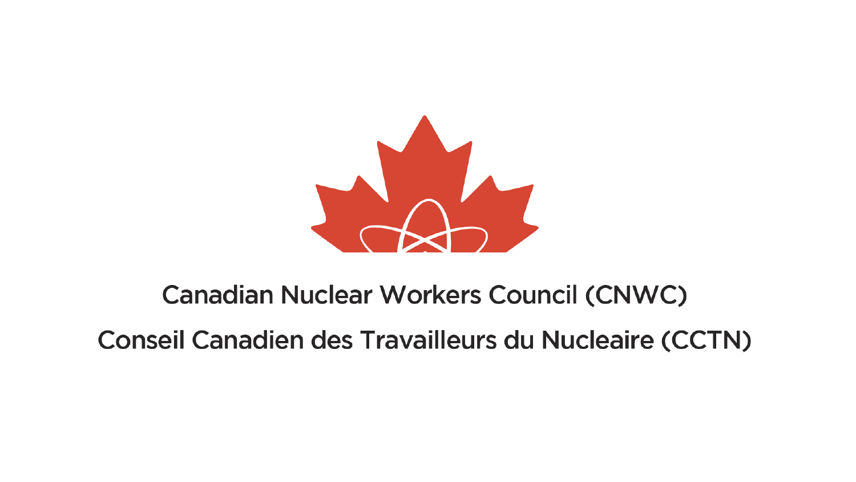

#### **Canadian Nuclear Workers Council (CNWC)**

**Conseil Canadien des Travailleurs du Nucleaire (CCTN)**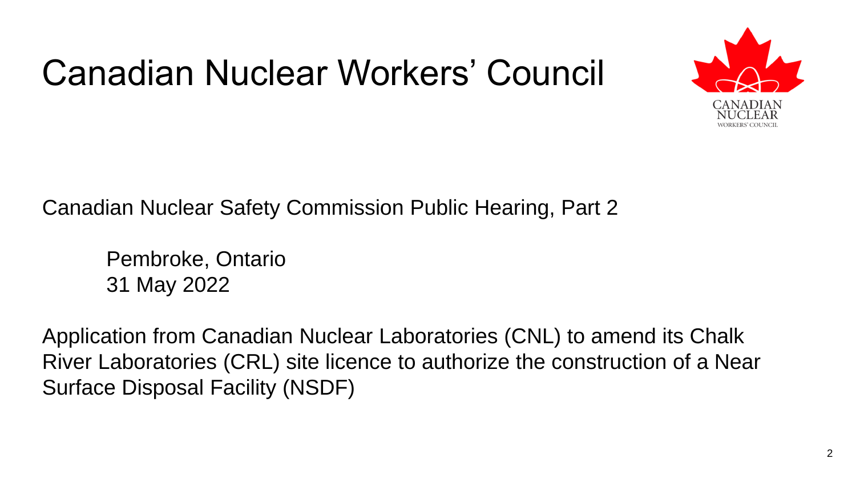

Canadian Nuclear Safety Commission Public Hearing, Part 2

Pembroke, Ontario 31 May 2022

Application from Canadian Nuclear Laboratories (CNL) to amend its Chalk River Laboratories (CRL) site licence to authorize the construction of a Near Surface Disposal Facility (NSDF)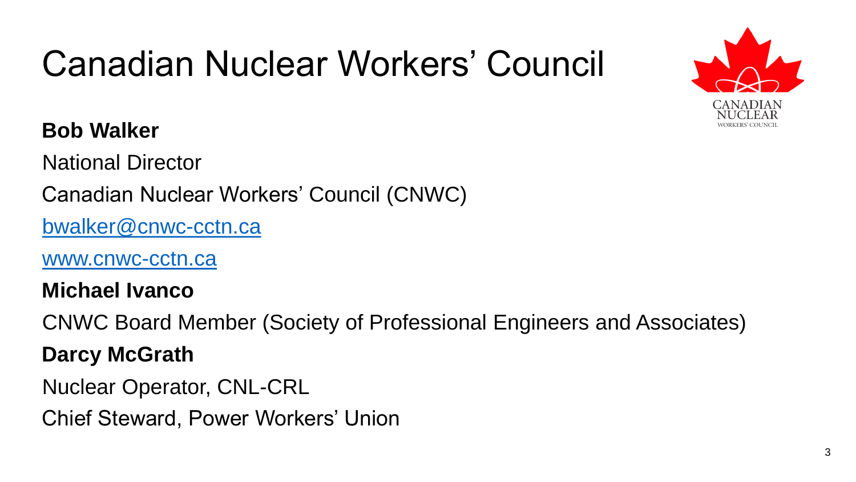#### **Bob Walker**

National Director

Canadian Nuclear Workers' Council (CNWC)

[bwalker@cnwc-cctn.ca](mailto:bwalker@cnwc-cctn.ca)

[www.cnwc-cctn.ca](http://www.cnwc-cctn.ca/)

**Michael Ivanco** 

CNWC Board Member (Society of Professional Engineers and Associates)

#### **Darcy McGrath**

Nuclear Operator, CNL-CRL

Chief Steward, Power Workers' Union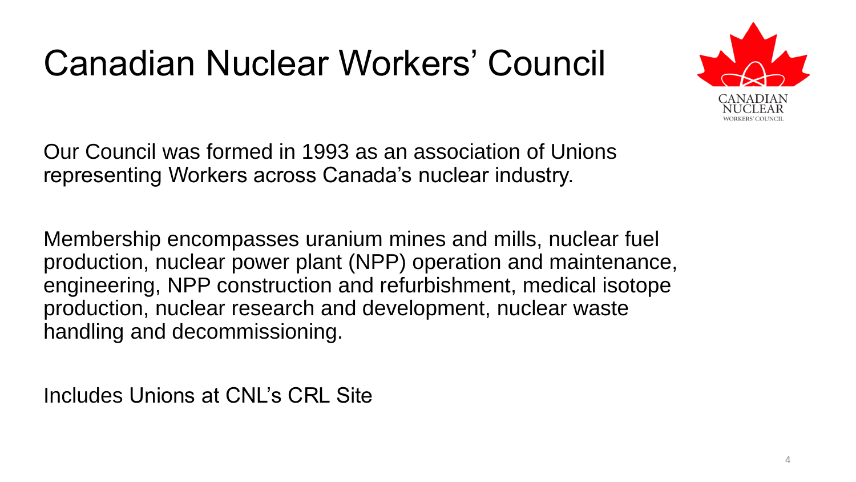

Our Council was formed in 1993 as an association of Unions representing Workers across Canada's nuclear industry.

Membership encompasses uranium mines and mills, nuclear fuel production, nuclear power plant (NPP) operation and maintenance, engineering, NPP construction and refurbishment, medical isotope production, nuclear research and development, nuclear waste handling and decommissioning.

Includes Unions at CNL's CRL Site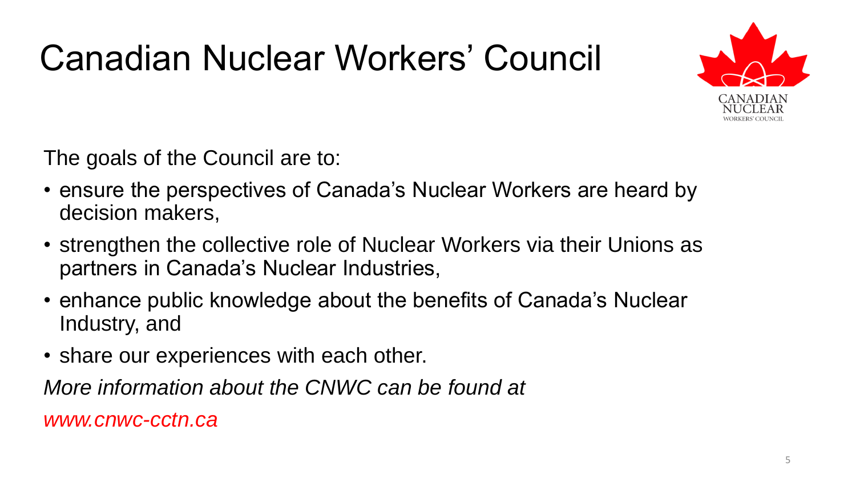

The goals of the Council are to:

- ensure the perspectives of Canada's Nuclear Workers are heard by decision makers,
- strengthen the collective role of Nuclear Workers via their Unions as partners in Canada's Nuclear Industries,
- enhance public knowledge about the benefits of Canada's Nuclear Industry, and
- share our experiences with each other.

*More information about the CNWC can be found at* 

*www.cnwc-cctn.ca*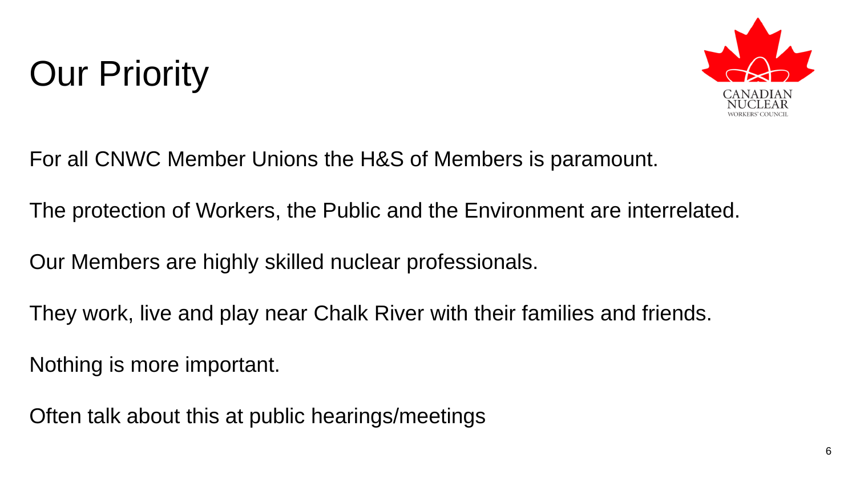## Our Priority



For all CNWC Member Unions the H&S of Members is paramount.

The protection of Workers, the Public and the Environment are interrelated.

Our Members are highly skilled nuclear professionals.

They work, live and play near Chalk River with their families and friends.

Nothing is more important.

Often talk about this at public hearings/meetings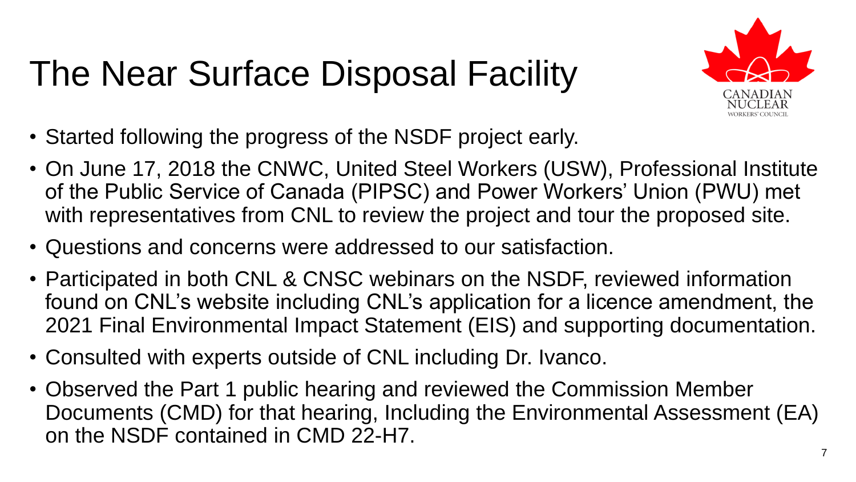# The Near Surface Disposal Facility



- Started following the progress of the NSDF project early.
- On June 17, 2018 the CNWC, United Steel Workers (USW), Professional Institute of the Public Service of Canada (PIPSC) and Power Workers' Union (PWU) met with representatives from CNL to review the project and tour the proposed site.
- Questions and concerns were addressed to our satisfaction.
- Participated in both CNL & CNSC webinars on the NSDF, reviewed information found on CNL's website including CNL's application for a licence amendment, the 2021 Final Environmental Impact Statement (EIS) and supporting documentation.
- Consulted with experts outside of CNL including Dr. Ivanco.
- Observed the Part 1 public hearing and reviewed the Commission Member Documents (CMD) for that hearing, Including the Environmental Assessment (EA) on the NSDF contained in CMD 22-H7.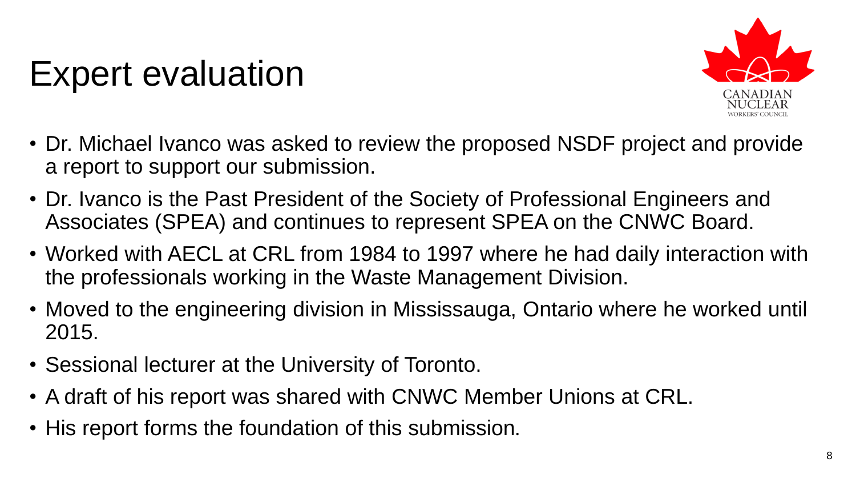#### Expert evaluation



- Dr. Michael Ivanco was asked to review the proposed NSDF project and provide a report to support our submission.
- Dr. Ivanco is the Past President of the Society of Professional Engineers and Associates (SPEA) and continues to represent SPEA on the CNWC Board.
- Worked with AECL at CRL from 1984 to 1997 where he had daily interaction with the professionals working in the Waste Management Division.
- Moved to the engineering division in Mississauga, Ontario where he worked until 2015.
- Sessional lecturer at the University of Toronto.
- A draft of his report was shared with CNWC Member Unions at CRL.
- His report forms the foundation of this submission.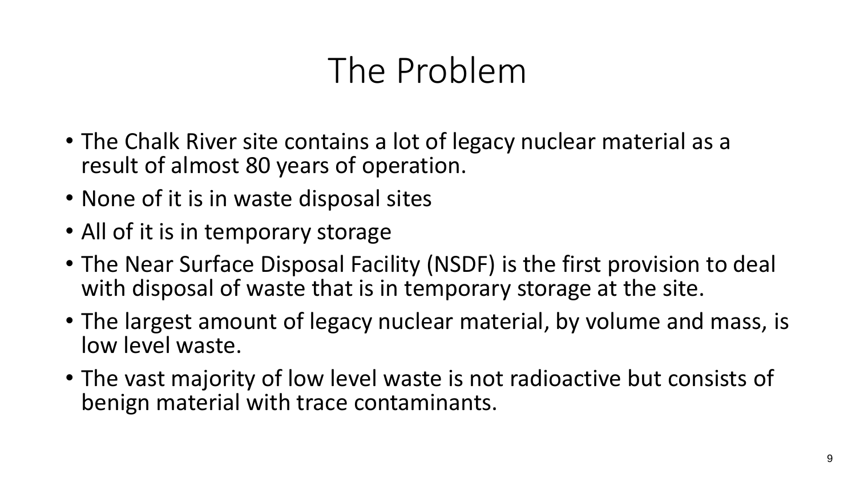#### The Problem

- The Chalk River site contains a lot of legacy nuclear material as a result of almost 80 years of operation.
- None of it is in waste disposal sites
- All of it is in temporary storage
- The Near Surface Disposal Facility (NSDF) is the first provision to deal with disposal of waste that is in temporary storage at the site.
- The largest amount of legacy nuclear material, by volume and mass, is low level waste.
- The vast majority of low level waste is not radioactive but consists of benign material with trace contaminants.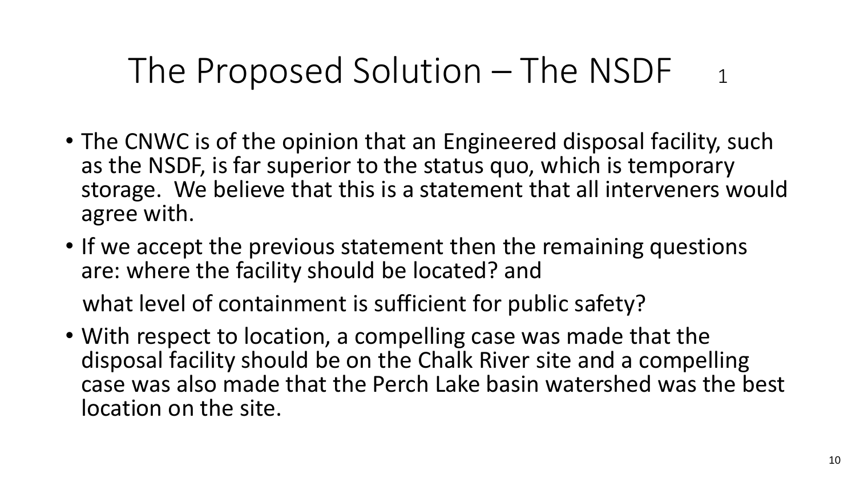#### The Proposed Solution – The NSDF  $_1$

- The CNWC is of the opinion that an Engineered disposal facility, such as the NSDF, is far superior to the status quo, which is temporary storage. We believe that this is a statement that all interveners would agree with.
- If we accept the previous statement then the remaining questions are: where the facility should be located? and

what level of containment is sufficient for public safety?

• With respect to location, a compelling case was made that the disposal facility should be on the Chalk River site and a compelling case was also made that the Perch Lake basin watershed was the best location on the site.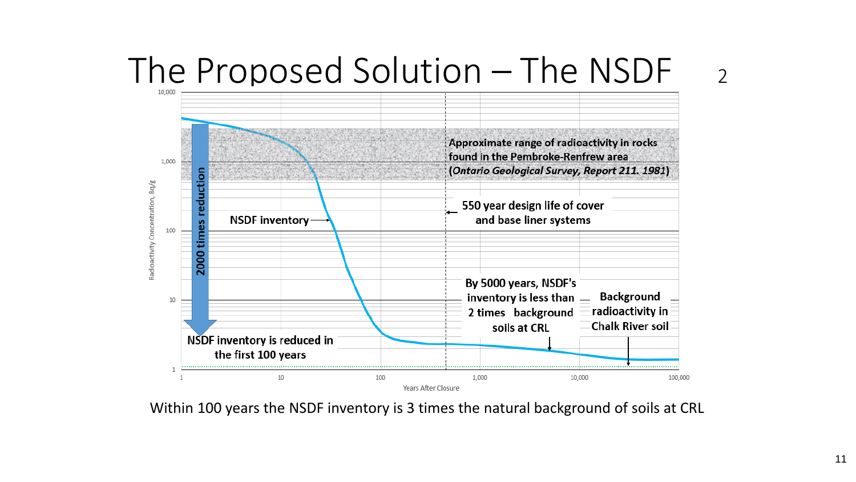# The Proposed Solution – The NSDF 2



Within 100 years the NSDF inventory is 3 times the natural background of soils at CRL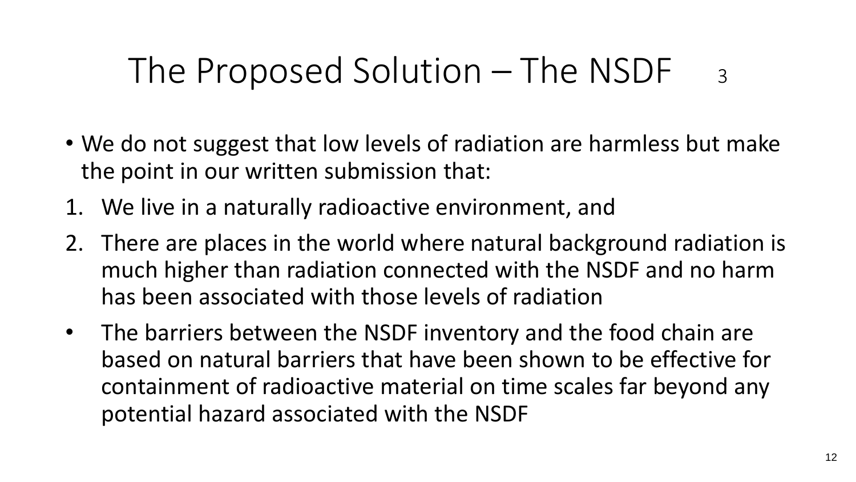#### The Proposed Solution – The NSDF  $_3$

- We do not suggest that low levels of radiation are harmless but make the point in our written submission that:
- 1. We live in a naturally radioactive environment, and
- 2. There are places in the world where natural background radiation is much higher than radiation connected with the NSDF and no harm has been associated with those levels of radiation
- The barriers between the NSDF inventory and the food chain are based on natural barriers that have been shown to be effective for containment of radioactive material on time scales far beyond any potential hazard associated with the NSDF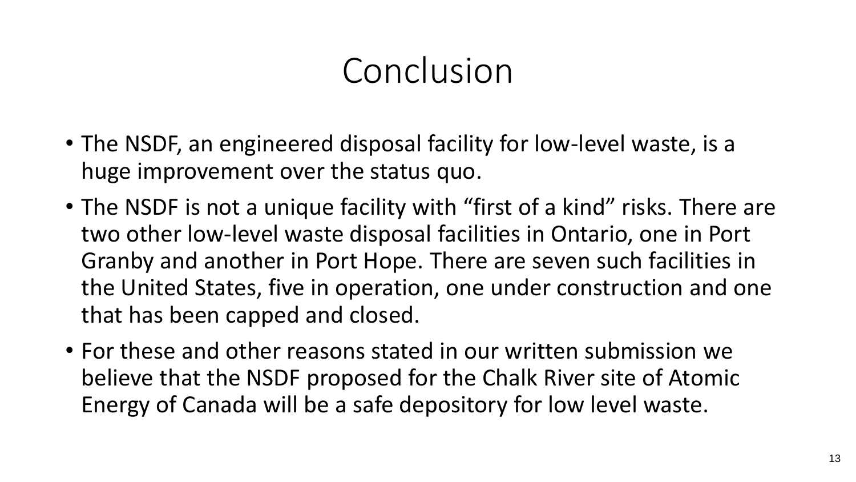#### Conclusion

- The NSDF, an engineered disposal facility for low-level waste, is a huge improvement over the status quo.
- The NSDF is not a unique facility with "first of a kind" risks. There are two other low-level waste disposal facilities in Ontario, one in Port Granby and another in Port Hope. There are seven such facilities in the United States, five in operation, one under construction and one that has been capped and closed.
- For these and other reasons stated in our written submission we believe that the NSDF proposed for the Chalk River site of Atomic Energy of Canada will be a safe depository for low level waste.